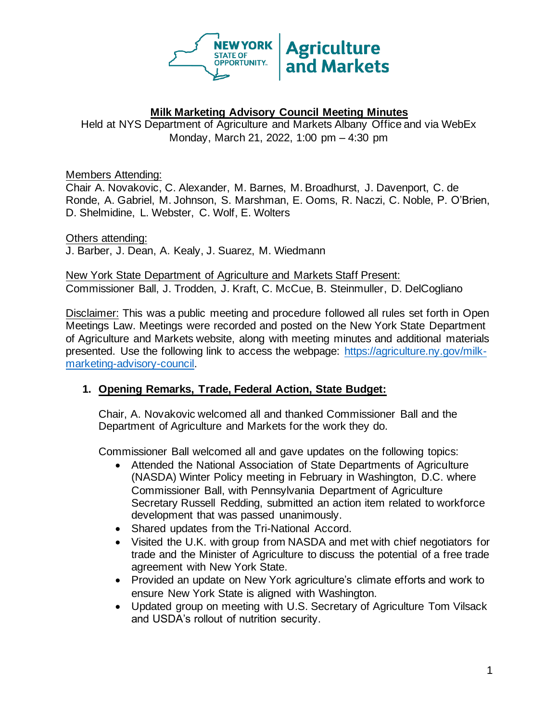

### **Milk Marketing Advisory Council Meeting Minutes**

Held at NYS Department of Agriculture and Markets Albany Office and via WebEx Monday, March 21, 2022, 1:00 pm – 4:30 pm

Members Attending:

Chair A. Novakovic, C. Alexander, M. Barnes, M. Broadhurst, J. Davenport, C. de Ronde, A. Gabriel, M. Johnson, S. Marshman, E. Ooms, R. Naczi, C. Noble, P. O'Brien, D. Shelmidine, L. Webster, C. Wolf, E. Wolters

Others attending: J. Barber, J. Dean, A. Kealy, J. Suarez, M. Wiedmann

New York State Department of Agriculture and Markets Staff Present: Commissioner Ball, J. Trodden, J. Kraft, C. McCue, B. Steinmuller, D. DelCogliano

Disclaimer: This was a public meeting and procedure followed all rules set forth in Open Meetings Law. Meetings were recorded and posted on the New York State Department of Agriculture and Markets website, along with meeting minutes and additional materials presented. Use the following link to access the webpage: [https://agriculture.ny.gov/milk](https://agriculture.ny.gov/milk-%20marketing-advisory-council)[marketing-advisory-council.](https://agriculture.ny.gov/milk-%20marketing-advisory-council)

# **1. Opening Remarks, Trade, Federal Action, State Budget:**

Chair, A. Novakovic welcomed all and thanked Commissioner Ball and the Department of Agriculture and Markets for the work they do.

Commissioner Ball welcomed all and gave updates on the following topics:

- Attended the National Association of State Departments of Agriculture (NASDA) Winter Policy meeting in February in Washington, D.C. where Commissioner Ball, with Pennsylvania Department of Agriculture Secretary Russell Redding, submitted an action item related to workforce development that was passed unanimously.
- Shared updates from the Tri-National Accord.
- Visited the U.K. with group from NASDA and met with chief negotiators for trade and the Minister of Agriculture to discuss the potential of a free trade agreement with New York State.
- Provided an update on New York agriculture's climate efforts and work to ensure New York State is aligned with Washington.
- Updated group on meeting with U.S. Secretary of Agriculture Tom Vilsack and USDA's rollout of nutrition security.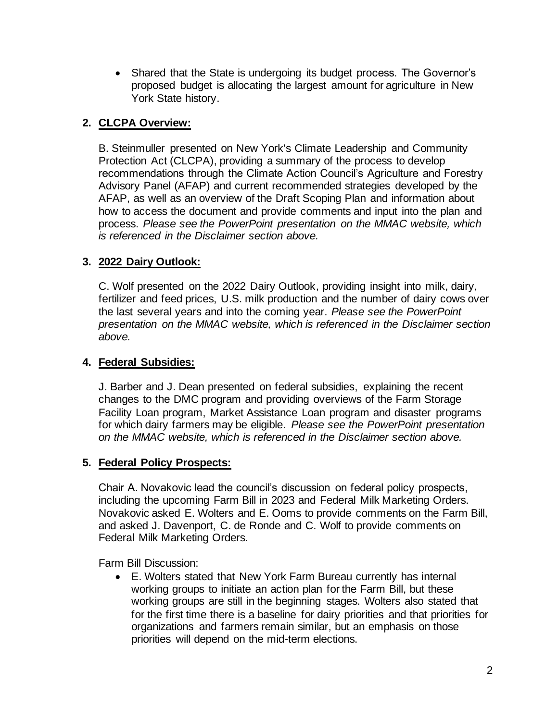• Shared that the State is undergoing its budget process. The Governor's proposed budget is allocating the largest amount for agriculture in New York State history.

### **2. CLCPA Overview:**

B. Steinmuller presented on New York's Climate Leadership and Community Protection Act (CLCPA), providing a summary of the process to develop recommendations through the Climate Action Council's Agriculture and Forestry Advisory Panel (AFAP) and current recommended strategies developed by the AFAP, as well as an overview of the Draft Scoping Plan and information about how to access the document and provide comments and input into the plan and process. *Please see the PowerPoint presentation on the MMAC website, which is referenced in the Disclaimer section above.*

### **3. 2022 Dairy Outlook:**

C. Wolf presented on the 2022 Dairy Outlook, providing insight into milk, dairy, fertilizer and feed prices, U.S. milk production and the number of dairy cows over the last several years and into the coming year. *Please see the PowerPoint presentation on the MMAC website, which is referenced in the Disclaimer section above.*

#### **4. Federal Subsidies:**

J. Barber and J. Dean presented on federal subsidies, explaining the recent changes to the DMC program and providing overviews of the Farm Storage Facility Loan program, Market Assistance Loan program and disaster programs for which dairy farmers may be eligible. *Please see the PowerPoint presentation on the MMAC website, which is referenced in the Disclaimer section above.*

#### **5. Federal Policy Prospects:**

Chair A. Novakovic lead the council's discussion on federal policy prospects, including the upcoming Farm Bill in 2023 and Federal Milk Marketing Orders. Novakovic asked E. Wolters and E. Ooms to provide comments on the Farm Bill, and asked J. Davenport, C. de Ronde and C. Wolf to provide comments on Federal Milk Marketing Orders.

Farm Bill Discussion:

• E. Wolters stated that New York Farm Bureau currently has internal working groups to initiate an action plan for the Farm Bill, but these working groups are still in the beginning stages. Wolters also stated that for the first time there is a baseline for dairy priorities and that priorities for organizations and farmers remain similar, but an emphasis on those priorities will depend on the mid-term elections.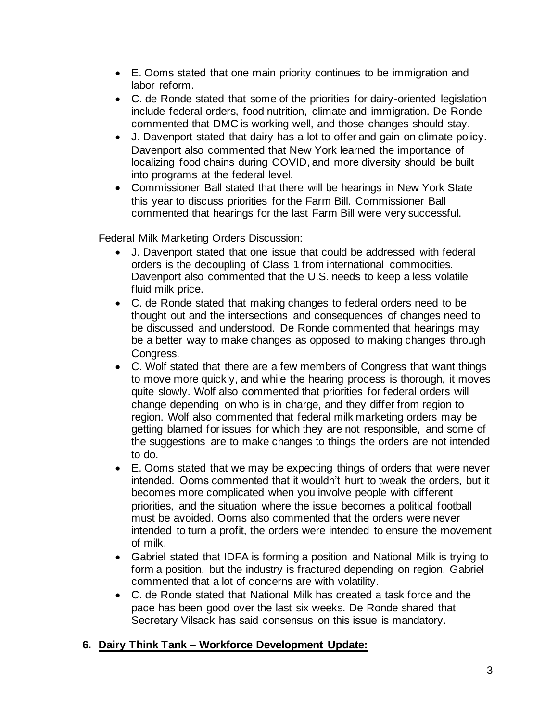- E. Ooms stated that one main priority continues to be immigration and labor reform.
- C. de Ronde stated that some of the priorities for dairy-oriented legislation include federal orders, food nutrition, climate and immigration. De Ronde commented that DMC is working well, and those changes should stay.
- J. Davenport stated that dairy has a lot to offer and gain on climate policy. Davenport also commented that New York learned the importance of localizing food chains during COVID, and more diversity should be built into programs at the federal level.
- Commissioner Ball stated that there will be hearings in New York State this year to discuss priorities for the Farm Bill. Commissioner Ball commented that hearings for the last Farm Bill were very successful.

Federal Milk Marketing Orders Discussion:

- J. Davenport stated that one issue that could be addressed with federal orders is the decoupling of Class 1 from international commodities. Davenport also commented that the U.S. needs to keep a less volatile fluid milk price.
- C. de Ronde stated that making changes to federal orders need to be thought out and the intersections and consequences of changes need to be discussed and understood. De Ronde commented that hearings may be a better way to make changes as opposed to making changes through Congress.
- C. Wolf stated that there are a few members of Congress that want things to move more quickly, and while the hearing process is thorough, it moves quite slowly. Wolf also commented that priorities for federal orders will change depending on who is in charge, and they differ from region to region. Wolf also commented that federal milk marketing orders may be getting blamed for issues for which they are not responsible, and some of the suggestions are to make changes to things the orders are not intended to do.
- E. Ooms stated that we may be expecting things of orders that were never intended. Ooms commented that it wouldn't hurt to tweak the orders, but it becomes more complicated when you involve people with different priorities, and the situation where the issue becomes a political football must be avoided. Ooms also commented that the orders were never intended to turn a profit, the orders were intended to ensure the movement of milk.
- Gabriel stated that IDFA is forming a position and National Milk is trying to form a position, but the industry is fractured depending on region. Gabriel commented that a lot of concerns are with volatility.
- C. de Ronde stated that National Milk has created a task force and the pace has been good over the last six weeks. De Ronde shared that Secretary Vilsack has said consensus on this issue is mandatory.

# **6. Dairy Think Tank – Workforce Development Update:**